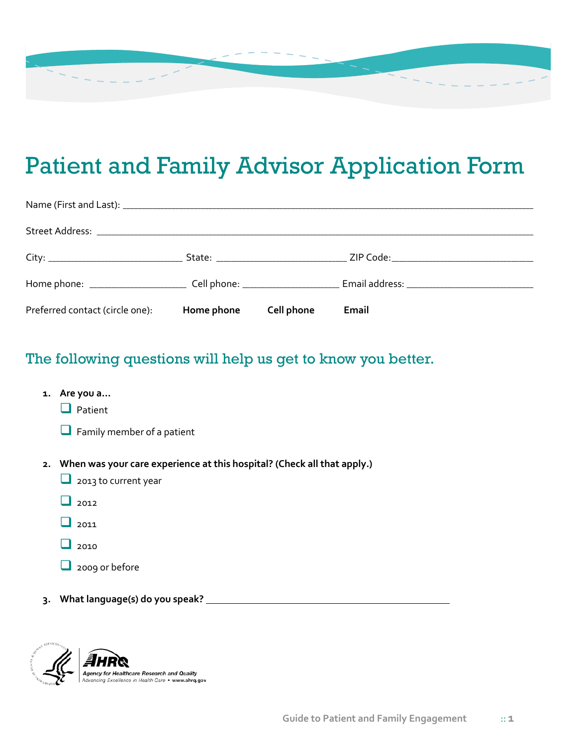## Patient and Family Advisor Application Form

| Preferred contact (circle one): | Home phone | Cell phone | Email |  |
|---------------------------------|------------|------------|-------|--|

## The following questions will help us get to know you better.

- **1. Are you a…**
	- $\Box$  Patient
	- **T** Family member of a patient
- **2. When was your care experience at this hospital? (Check all that apply.)** 
	- $\Box$  2013 to current year
	- $\Box$  2012
	- $\Box$ <sub>2011</sub>
	- $\Box$ <sub>2010</sub>
	- 2009 or before
- **3. What language(s) do you speak?**

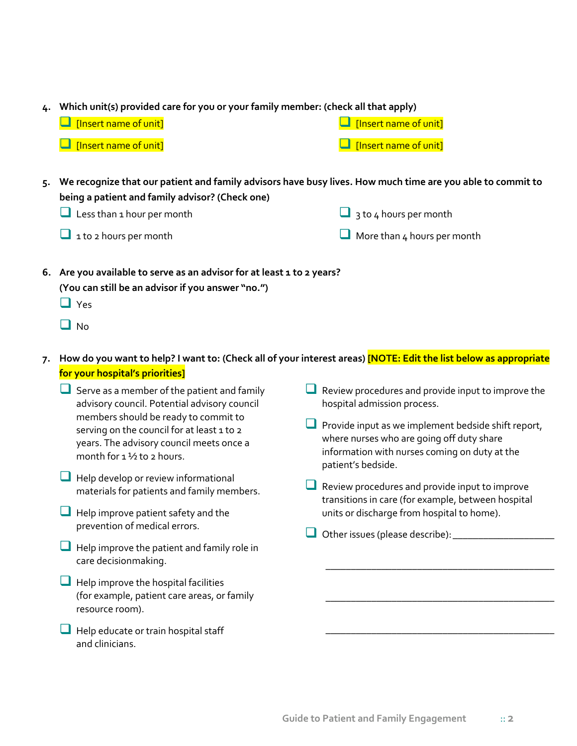**4. Which unit(s) provided care for you or your family member: (check all that apply)**

| $\Box$ [Insert name of unit] | $\Box$ [Insert name of unit] |
|------------------------------|------------------------------|
| $\Box$ [Insert name of unit] | $\Box$ [Insert name of unit] |

- **5. We recognize that our patient and family advisors have busy lives. How much time are you able to commit to being a patient and family advisor? (Check one)**
	- $\Box$  Less than 1 hour per month
	- $\Box$  1 to 2 hours per month
- $\Box$  3 to 4 hours per month
- $\Box$  More than 4 hours per month
- **6. Are you available to serve as an advisor for at least 1 to 2 years? (You can still be an advisor if you answer "no.")** 
	- $\Box$  Yes
	- $\Box$  No
- **7. How do you want to help? I want to: (Check all of your interest areas) [NOTE: Edit the list below as appropriate for your hospital's priorities]**
	- $\Box$  Serve as a member of the patient and family advisory council. Potential advisory council members should be ready to commit to serving on the council for at least 1 to 2 years. The advisory council meets once a month for 1 1/2 to 2 hours.
	- $\Box$  Help develop or review informational materials for patients and family members.
	- $\Box$  Help improve patient safety and the prevention of medical errors.
	- $\Box$  Help improve the patient and family role in care decisionmaking.
	- $\Box$  Help improve the hospital facilities (for example, patient care areas, or family resource room).
	- $\Box$  Help educate or train hospital staff and clinicians.
- $\Box$  Review procedures and provide input to improve the hospital admission process.
- $\Box$  Provide input as we implement bedside shift report, where nurses who are going off duty share information with nurses coming on duty at the patient's bedside.
- Review procedures and provide input to improve transitions in care (for example, between hospital units or discharge from hospital to home).

\_\_\_\_\_\_\_\_\_\_\_\_\_\_\_\_\_\_\_\_\_\_\_\_\_\_\_\_\_\_\_\_\_\_\_\_\_\_\_\_\_\_\_\_\_

\_\_\_\_\_\_\_\_\_\_\_\_\_\_\_\_\_\_\_\_\_\_\_\_\_\_\_\_\_\_\_\_\_\_\_\_\_\_\_\_\_\_\_\_\_

\_\_\_\_\_\_\_\_\_\_\_\_\_\_\_\_\_\_\_\_\_\_\_\_\_\_\_\_\_\_\_\_\_\_\_\_\_\_\_\_\_\_\_\_\_

Other issues (please describe):\_\_\_\_\_\_\_\_\_\_\_\_\_\_\_\_\_\_\_\_